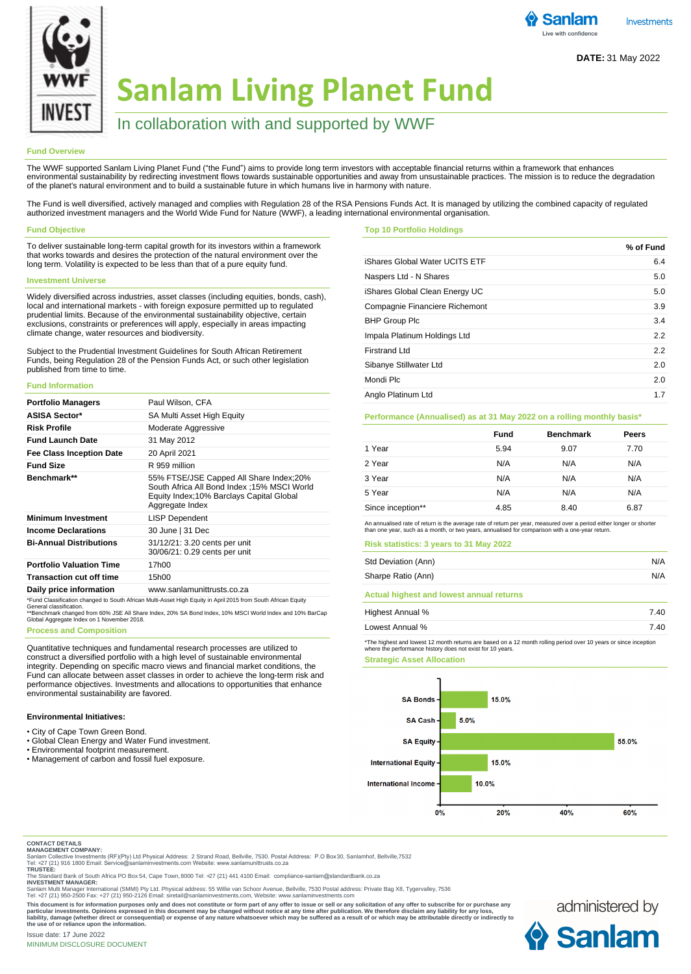

# **Sanlam Living Planet Fund**

## In collaboration with and supported by WWF

## **Fund Overview**

The WWF supported Sanlam Living Planet Fund ("the Fund") aims to provide long term investors with acceptable financial returns within a framework that enhances environmental sustainability by redirecting investment flows towards sustainable opportunities and away from unsustainable practices. The mission is to reduce the degradation of the planet's natural environment and to build a sustainable future in which humans live in harmony with nature.

The Fund is well diversified, actively managed and complies with Regulation 28 of the RSA Pensions Funds Act. It is managed by utilizing the combined capacity of regulated authorized investment managers and the World Wide Fund for Nature (WWF), a leading international environmental organisation.

## **Fund Objective**

To deliver sustainable long-term capital growth for its investors within a framework that works towards and desires the protection of the natural environment over the long term. Volatility is expected to be less than that of a pure equity fund.

## **Investment Universe**

Widely diversified across industries, asset classes (including equities, bonds, cash), local and international markets - with foreign exposure permitted up to regulated prudential limits. Because of the environmental sustainability objective, certain exclusions, constraints or preferences will apply, especially in areas impacting climate change, water resources and biodiversity.

Subject to the Prudential Investment Guidelines for South African Retirement Funds, being Regulation 28 of the Pension Funds Act, or such other legislation published from time to time.

#### **Fund Information**

| <b>Portfolio Managers</b>       | Paul Wilson, CFA                                                                                                                                       |
|---------------------------------|--------------------------------------------------------------------------------------------------------------------------------------------------------|
| <b>ASISA Sector*</b>            | SA Multi Asset High Equity                                                                                                                             |
| <b>Risk Profile</b>             | Moderate Aggressive                                                                                                                                    |
| <b>Fund Launch Date</b>         | 31 May 2012                                                                                                                                            |
| <b>Fee Class Inception Date</b> | 20 April 2021                                                                                                                                          |
| <b>Fund Size</b>                | R 959 million                                                                                                                                          |
| Benchmark**                     | 55% FTSE/JSE Capped All Share Index;20%<br>South Africa All Bond Index : 15% MSCI World<br>Equity Index;10% Barclays Capital Global<br>Aggregate Index |
| <b>Minimum Investment</b>       | <b>LISP Dependent</b>                                                                                                                                  |
| <b>Income Declarations</b>      | 30 June   31 Dec                                                                                                                                       |
| <b>Bi-Annual Distributions</b>  | 31/12/21: 3.20 cents per unit<br>30/06/21: 0.29 cents per unit                                                                                         |
| <b>Portfolio Valuation Time</b> | 17h00                                                                                                                                                  |
| <b>Transaction cut off time</b> | 15h00                                                                                                                                                  |
| Daily price information         | www.sanlamunittrusts.co.za                                                                                                                             |

\*Fund Classification changed to South African Multi-Asset High Equity in April 2015 from South African Equity<br>General classification.<br>\*\*Benchmark changed from 60% JSE All Share Index, 20% SA Bond Index, 10% MSCI World Ind

## **Process and Composition**

Quantitative techniques and fundamental research processes are utilized to construct a diversified portfolio with a high level of sustainable environmental integrity. Depending on specific macro views and financial market conditions, the Fund can allocate between asset classes in order to achieve the long-term risk and performance objectives. Investments and allocations to opportunities that enhance environmental sustainability are favored.

#### **Environmental Initiatives:**

- City of Cape Town Green Bond.
- Global Clean Energy and Water Fund investment.
- Environmental footprint measurement.
- Management of carbon and fossil fuel exposure.

#### **Top 10 Portfolio Holdings**

|                                | % of Fund |
|--------------------------------|-----------|
| iShares Global Water UCITS ETF | 6.4       |
| Naspers Ltd - N Shares         | 5.0       |
| iShares Global Clean Energy UC | 5.0       |
| Compagnie Financiere Richemont | 3.9       |
| <b>BHP Group Plc</b>           | 3.4       |
| Impala Platinum Holdings Ltd   | 2.2       |
| <b>Firstrand Ltd</b>           | 2.2       |
| Sibanye Stillwater Ltd         | 2.0       |
| Mondi Plc                      | 2.0       |
| Anglo Platinum Ltd             | 1.7       |

#### **Performance (Annualised) as at 31 May 2022 on a rolling monthly basis\***

|                   | Fund | <b>Benchmark</b> | Peers |  |
|-------------------|------|------------------|-------|--|
| 1 Year            | 5.94 | 9.07             | 7.70  |  |
| 2 Year            | N/A  | N/A              | N/A   |  |
| 3 Year            | N/A  | N/A              | N/A   |  |
| 5 Year            | N/A  | N/A              | N/A   |  |
| Since inception** | 4.85 | 8.40             | 6.87  |  |

**Risk statistics: 3 years to 31 May 2022** An annualised rate of return is the average rate of return per year, measured over a period either longer or shorter than one year, such as a month, or two years, annualised for comparison with a one-year return.

| <b>RISK STATISTICS: 3 Years to 31 May 2022</b>  |     |
|-------------------------------------------------|-----|
| Std Deviation (Ann)                             | N/A |
| Sharpe Ratio (Ann)                              | N/A |
| <b>Actual highest and lowest annual returns</b> |     |

| Highest Annual % | 7.40 |
|------------------|------|
| Lowest Annual %  | 7.40 |

\*The highest and lowest 12 month returns are based on a 12 month rolling period over 10 years or since inception where the performance history does not exist for 10 years.

**Strategic Asset Allocation**



**CONTACT DETAILS MANAGEMENT COMPANY:** Sanlam Collective Investments (RF)(Pty) Ltd Physical Address: 2 Strand Road, Bellville, 7530. Postal Address: P.O Box 30, Sanlamhof, Bellville,7532

Tel: +27 (21) 916 1800 Email: Service@sanlaminvestments.com Website: www.sanlamunittrusts.co.za **TRUSTEE:**

The Standard Bank of South Africa PO Box 54, Cape Town, 8000 Tel: +27 (21) 441 4100 Email: compliance-sanlam@standardbank.co.za **INVESTMENT MANAGER:**

Sanlam Multi Manager International (SMMI) Pty Ltd. Physical address: 55 Willie van Schoor Avenue, Bellville, 7530 Postal address: Private Bag X8, Tygervalley, 7536<br>Tel: +27 (21) 950-2500 Fax: +27 (21) 950-2126 Email: siret

This document is for information purposes only and does not constitute or form part of any offer to sue or sell or any solicitation of any offer to subscribe for or purchase any<br>particular investments. Opinions expressed i **the use of or reliance upon the information.**